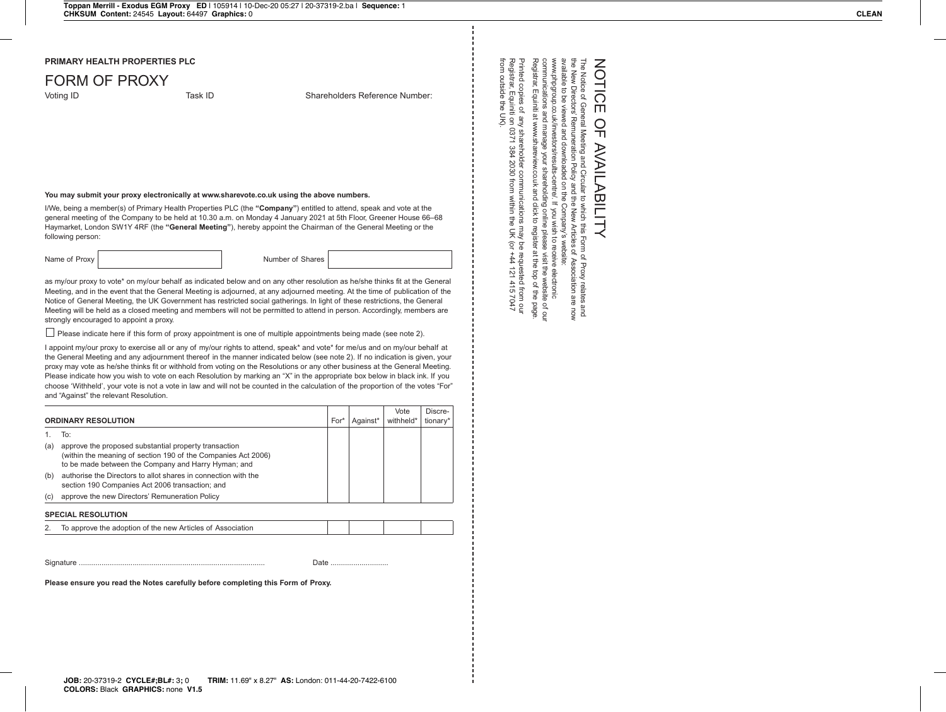## FORM OF PROXY

Voting ID **Task ID** Shareholders Reference Number:

## **You may submit your proxy electronically at www.sharevote.co.uk using the above numbers.**

I/We, being a member(s) of Primary Health Properties PLC (the **"Company"**) entitled to attend, speak and vote at the general meeting of the Company to be held at 10.30 a.m. on Monday 4 January 2021 at 5th Floor, Greener House 66–68 Haymarket, London SW1Y 4RF (the **"General Meeting"**), hereby appoint the Chairman of the General Meeting or the following person:

Name of Proxy | Number of Shares

as my/our proxy to vote\* on my/our behalf as indicated below and on any other resolution as he/she thinks fit at the General Meeting, and in the event that the General Meeting is adjourned, at any adjourned meeting. At the time of publication of the Notice of General Meeting, the UK Government has restricted social gatherings. In light of these restrictions, the General Meeting will be held as a closed meeting and members will not be permitted to attend in person. Accordingly, members are strongly encouraged to appoint a proxy.

Please indicate here if this form of proxy appointment is one of multiple appointments being made (see note 2).

I appoint my/our proxy to exercise all or any of my/our rights to attend, speak\* and vote\* for me/us and on my/our behalf at the General Meeting and any adjournment thereof in the manner indicated below (see note 2). If no indication is given, your proxy may vote as he/she thinks fit or withhold from voting on the Resolutions or any other business at the General Meeting. Please indicate how you wish to vote on each Resolution by marking an "X" in the appropriate box below in black ink. If you choose 'Withheld', your vote is not a vote in law and will not be counted in the calculation of the proportion of the votes "For" and "Against" the relevant Resolution.

|                            |                                                                                                                                                                               |      |          | Vote      | Discre-  |
|----------------------------|-------------------------------------------------------------------------------------------------------------------------------------------------------------------------------|------|----------|-----------|----------|
| <b>ORDINARY RESOLUTION</b> |                                                                                                                                                                               | For* | Against* | withheld* | tionary* |
|                            | To:                                                                                                                                                                           |      |          |           |          |
| (a)                        | approve the proposed substantial property transaction<br>(within the meaning of section 190 of the Companies Act 2006)<br>to be made between the Company and Harry Hyman; and |      |          |           |          |
| (b)                        | authorise the Directors to allot shares in connection with the<br>section 190 Companies Act 2006 transaction; and                                                             |      |          |           |          |
| (c)                        | approve the new Directors' Remuneration Policy                                                                                                                                |      |          |           |          |
| <b>SPECIAL RESOLUTION</b>  |                                                                                                                                                                               |      |          |           |          |
|                            | To approve the adoption of the new Articles of Association                                                                                                                    |      |          |           |          |

Signature .......................................................................................... Date ............................

**Please ensure you read the Notes carefully before completing this Form of Proxy.**

## NOTIC NOTICE OF AVAILABILITY ΠŤ  $\bigcirc$  $\breve{\mathsf{T}}$ **AVAIL ABILITY**

communications and manage your shareholding<br>Registrar, Equiniti at www.shareview.co.uk and cli<br>Registrar, Equiniti at www.shareview.co.uk and cli www.phpgroup.co.uk/investors/results-centre/ The Notice of General Meeting and Circular to which this Form of Proxy relates and<br>the New Directors' Remuneration Policy and the New Articles of Association are now Registrar, Equiniti at www.shareview.co.uk and click to register at the top of the page. communications and manage your shareholding online please visit the website of our www.phpgroup.co.uk/investors/results-centre/.available to be viewed and downloaded on the Company's website: the New Directors' Remuneration Policy and the New Articles of Association are now The Notice of General Meeting and Circular to which this Form of Proxy relates and  $\ddot{\vec{\sigma}}$ be view wed and downloa aded  $\overline{S}$ and click to register E<br>Te If you wish If you wish to receive electronic Company's website online please to receive electronic i visit the website of ou<br>at the top of the page e of our

from outside the UK).

Registrar, Equiniti on 0371 384 2030 from within the UK (or +44 121 415 7047 Printed copies of any shareholder communications may be requested from our

ations r<br>in the

may be requested from our<br>
a UK (or +44 121 415 7047

Printed copies of any shareholder communicatic<br>Registrar, Equiniti on 0371 384 2030 from within<br>from outside the UK).